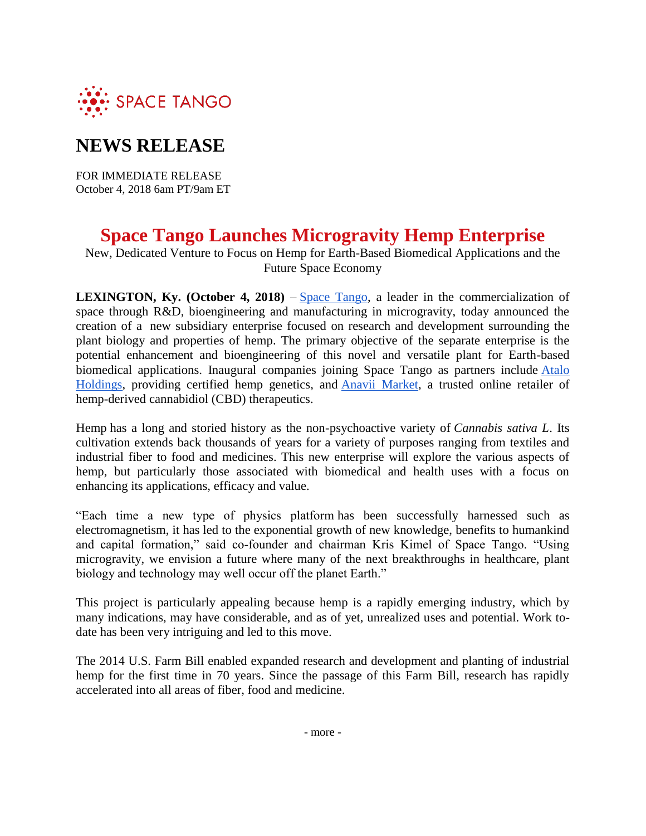

## **NEWS RELEASE**

FOR IMMEDIATE RELEASE October 4, 2018 6am PT/9am ET

## **Space Tango Launches Microgravity Hemp Enterprise**

New, Dedicated Venture to Focus on Hemp for Earth-Based Biomedical Applications and the Future Space Economy

**LEXINGTON, Ky. (October 4, 2018)** – [Space Tango,](https://spacetango.com/) a leader in the commercialization of space through R&D, bioengineering and manufacturing in microgravity, today announced the creation of a new subsidiary enterprise focused on research and development surrounding the plant biology and properties of hemp. The primary objective of the separate enterprise is the potential enhancement and bioengineering of this novel and versatile plant for Earth-based biomedical applications. Inaugural companies joining Space Tango as partners include Atalo [Holdings,](http://www.ataloholdings.com/) providing certified hemp genetics, and [Anavii Market,](https://www.anaviimarket.com/) a trusted online retailer of hemp-derived cannabidiol (CBD) therapeutics.

Hemp has a long and storied history as the non-psychoactive variety of *Cannabis sativa L*. Its cultivation extends back thousands of years for a variety of purposes ranging from textiles and industrial fiber to food and medicines. This new enterprise will explore the various aspects of hemp, but particularly those associated with biomedical and health uses with a focus on enhancing its applications, efficacy and value.

"Each time a new type of physics platform has been successfully harnessed such as electromagnetism, it has led to the exponential growth of new knowledge, benefits to humankind and capital formation," said co-founder and chairman Kris Kimel of Space Tango. "Using microgravity, we envision a future where many of the next breakthroughs in healthcare, plant biology and technology may well occur off the planet Earth."

This project is particularly appealing because hemp is a rapidly emerging industry, which by many indications, may have considerable, and as of yet, unrealized uses and potential. Work todate has been very intriguing and led to this move.

The 2014 U.S. Farm Bill enabled expanded research and development and planting of industrial hemp for the first time in 70 years. Since the passage of this Farm Bill, research has rapidly accelerated into all areas of fiber, food and medicine.

- more -